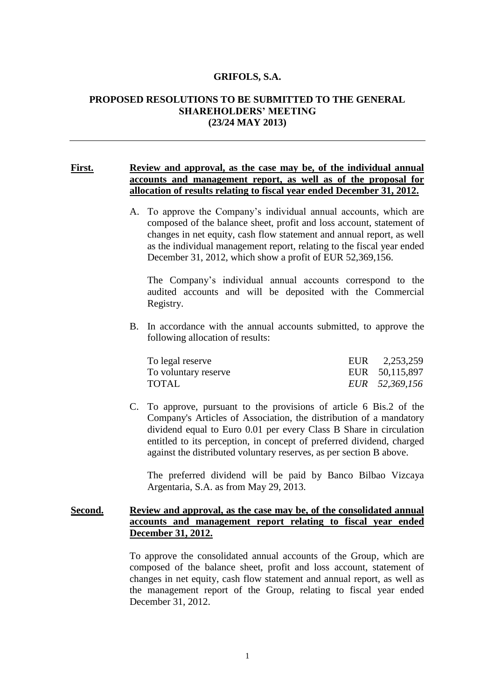#### **GRIFOLS, S.A.**

# **PROPOSED RESOLUTIONS TO BE SUBMITTED TO THE GENERAL SHAREHOLDERS' MEETING (23/24 MAY 2013)**

# **First. Review and approval, as the case may be, of the individual annual accounts and management report, as well as of the proposal for allocation of results relating to fiscal year ended December 31, 2012.**

A. To approve the Company's individual annual accounts, which are composed of the balance sheet, profit and loss account, statement of changes in net equity, cash flow statement and annual report, as well as the individual management report, relating to the fiscal year ended December 31, 2012, which show a profit of EUR 52,369,156.

The Company's individual annual accounts correspond to the audited accounts and will be deposited with the Commercial Registry.

B. In accordance with the annual accounts submitted, to approve the following allocation of results:

| To legal reserve     | EUR 2,253,259  |
|----------------------|----------------|
| To voluntary reserve | EUR 50,115,897 |
| <b>TOTAL</b>         | EUR 52,369,156 |

C. To approve, pursuant to the provisions of article 6 Bis.2 of the Company's Articles of Association, the distribution of a mandatory dividend equal to Euro 0.01 per every Class B Share in circulation entitled to its perception, in concept of preferred dividend, charged against the distributed voluntary reserves, as per section B above.

The preferred dividend will be paid by Banco Bilbao Vizcaya Argentaria, S.A. as from May 29, 2013.

#### **Second. Review and approval, as the case may be, of the consolidated annual accounts and management report relating to fiscal year ended December 31, 2012.**

To approve the consolidated annual accounts of the Group, which are composed of the balance sheet, profit and loss account, statement of changes in net equity, cash flow statement and annual report, as well as the management report of the Group, relating to fiscal year ended December 31, 2012.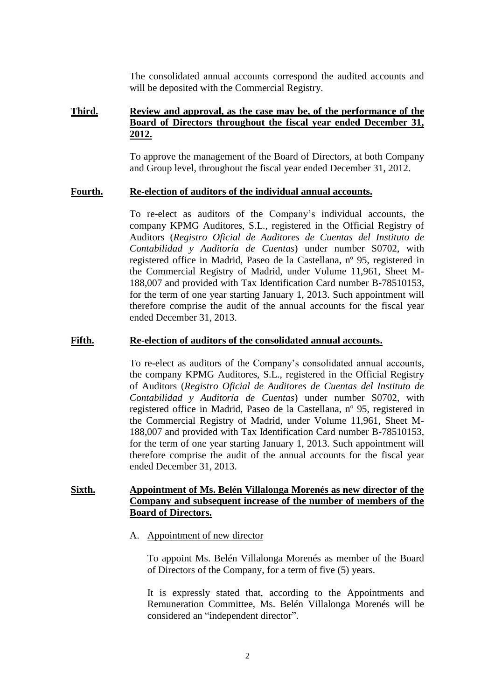The consolidated annual accounts correspond the audited accounts and will be deposited with the Commercial Registry.

# **Third. Review and approval, as the case may be, of the performance of the Board of Directors throughout the fiscal year ended December 31, 2012.**

To approve the management of the Board of Directors, at both Company and Group level, throughout the fiscal year ended December 31, 2012.

#### **Fourth. Re-election of auditors of the individual annual accounts.**

To re-elect as auditors of the Company's individual accounts, the company KPMG Auditores, S.L., registered in the Official Registry of Auditors (*Registro Oficial de Auditores de Cuentas del Instituto de Contabilidad y Auditoría de Cuentas*) under number S0702, with registered office in Madrid, Paseo de la Castellana, nº 95, registered in the Commercial Registry of Madrid, under Volume 11,961, Sheet M-188,007 and provided with Tax Identification Card number B-78510153, for the term of one year starting January 1, 2013. Such appointment will therefore comprise the audit of the annual accounts for the fiscal year ended December 31, 2013.

#### **Fifth. Re-election of auditors of the consolidated annual accounts.**

To re-elect as auditors of the Company's consolidated annual accounts, the company KPMG Auditores, S.L., registered in the Official Registry of Auditors (*Registro Oficial de Auditores de Cuentas del Instituto de Contabilidad y Auditoría de Cuentas*) under number S0702, with registered office in Madrid, Paseo de la Castellana, nº 95, registered in the Commercial Registry of Madrid, under Volume 11,961, Sheet M-188,007 and provided with Tax Identification Card number B-78510153, for the term of one year starting January 1, 2013. Such appointment will therefore comprise the audit of the annual accounts for the fiscal year ended December 31, 2013.

# **Sixth. Appointment of Ms. Belén Villalonga Morenés as new director of the Company and subsequent increase of the number of members of the Board of Directors.**

A. Appointment of new director

To appoint Ms. Belén Villalonga Morenés as member of the Board of Directors of the Company, for a term of five (5) years.

It is expressly stated that, according to the Appointments and Remuneration Committee, Ms. Belén Villalonga Morenés will be considered an "independent director".